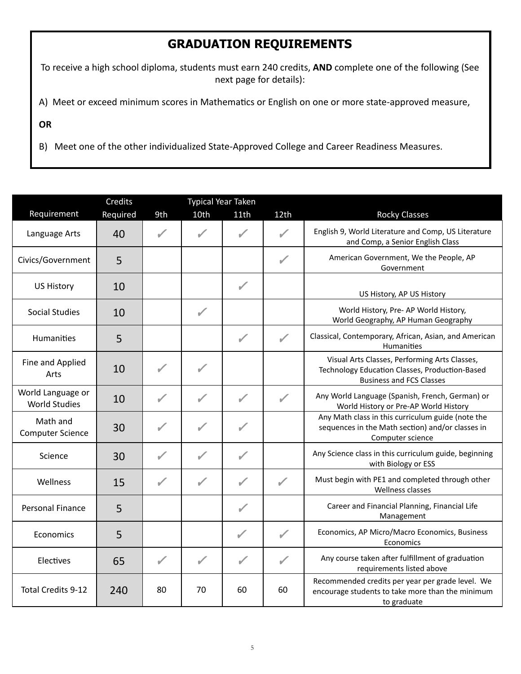## **GRADUATION REQUIREMENTS**

To receive a high school diploma, students must earn 240 credits, **AND** complete one of the following (See next page for details):

A) Meet or exceed minimum scores in Mathematics or English on one or more state-approved measure,

**OR** 

B) Meet one of the other individualized State-Approved College and Career Readiness Measures.

|                                           | Credits  |              | <b>Typical Year Taken</b> |               |              |                                                                                                                                    |
|-------------------------------------------|----------|--------------|---------------------------|---------------|--------------|------------------------------------------------------------------------------------------------------------------------------------|
| Requirement                               | Required | 9th          | 10th                      | 11th          | 12th         | <b>Rocky Classes</b>                                                                                                               |
| Language Arts                             | 40       | ✔            | ✔                         |               | $\checkmark$ | English 9, World Literature and Comp, US Literature<br>and Comp, a Senior English Class                                            |
| Civics/Government                         | 5        |              |                           |               | ✓            | American Government, We the People, AP<br>Government                                                                               |
| <b>US History</b>                         | 10       |              |                           | $\checkmark$  |              | US History, AP US History                                                                                                          |
| <b>Social Studies</b>                     | 10       |              |                           |               |              | World History, Pre- AP World History,<br>World Geography, AP Human Geography                                                       |
| <b>Humanities</b>                         | 5        |              |                           | ✓             | ✓            | Classical, Contemporary, African, Asian, and American<br>Humanities                                                                |
| Fine and Applied<br>Arts                  | 10       |              |                           |               |              | Visual Arts Classes, Performing Arts Classes,<br>Technology Education Classes, Production-Based<br><b>Business and FCS Classes</b> |
| World Language or<br><b>World Studies</b> | 10       | ✔            | ✔                         | $\mathscr{I}$ | ✓            | Any World Language (Spanish, French, German) or<br>World History or Pre-AP World History                                           |
| Math and<br><b>Computer Science</b>       | 30       | $\checkmark$ | $\checkmark$              | $\sqrt{2}$    |              | Any Math class in this curriculum guide (note the<br>sequences in the Math section) and/or classes in<br>Computer science          |
| Science                                   | 30       |              |                           |               |              | Any Science class in this curriculum guide, beginning<br>with Biology or ESS                                                       |
| Wellness                                  | 15       | $\checkmark$ | $\sqrt{2}$                | $\mathcal{L}$ | $\sqrt{2}$   | Must begin with PE1 and completed through other<br>Wellness classes                                                                |
| <b>Personal Finance</b>                   | 5        |              |                           |               |              | Career and Financial Planning, Financial Life<br>Management                                                                        |
| Economics                                 | 5        |              |                           | ✓             | $\sqrt{2}$   | Economics, AP Micro/Macro Economics, Business<br>Economics                                                                         |
| Electives                                 | 65       | ✓            | ✓                         | $\sqrt{2}$    | ✓            | Any course taken after fulfillment of graduation<br>requirements listed above                                                      |
| <b>Total Credits 9-12</b>                 | 240      | 80           | 70                        | 60            | 60           | Recommended credits per year per grade level. We<br>encourage students to take more than the minimum<br>to graduate                |